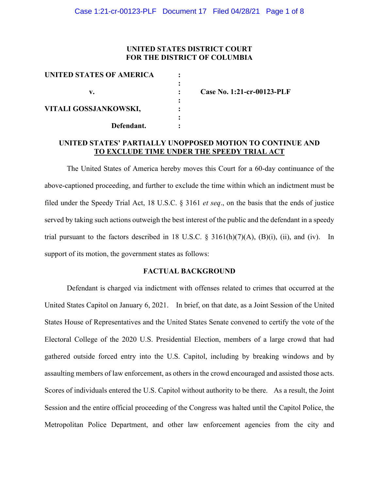## **UNITED STATES DISTRICT COURT FOR THE DISTRICT OF COLUMBIA**

| UNITED STATES OF AMERICA |       |
|--------------------------|-------|
|                          |       |
| v.                       | ( 'คร |
| VITALI GOSSJANKOWSKI,    |       |
| Defendant.               |       |

**v. : Case No. 1:21-cr-00123-PLF**

# **UNITED STATES' PARTIALLY UNOPPOSED MOTION TO CONTINUE AND TO EXCLUDE TIME UNDER THE SPEEDY TRIAL ACT**

The United States of America hereby moves this Court for a 60-day continuance of the above-captioned proceeding, and further to exclude the time within which an indictment must be filed under the Speedy Trial Act, 18 U.S.C. § 3161 *et seq*., on the basis that the ends of justice served by taking such actions outweigh the best interest of the public and the defendant in a speedy trial pursuant to the factors described in 18 U.S.C.  $\S$  3161(h)(7)(A), (B)(i), (ii), and (iv). In support of its motion, the government states as follows:

### **FACTUAL BACKGROUND**

Defendant is charged via indictment with offenses related to crimes that occurred at the United States Capitol on January 6, 2021. In brief, on that date, as a Joint Session of the United States House of Representatives and the United States Senate convened to certify the vote of the Electoral College of the 2020 U.S. Presidential Election, members of a large crowd that had gathered outside forced entry into the U.S. Capitol, including by breaking windows and by assaulting members of law enforcement, as others in the crowd encouraged and assisted those acts. Scores of individuals entered the U.S. Capitol without authority to be there. As a result, the Joint Session and the entire official proceeding of the Congress was halted until the Capitol Police, the Metropolitan Police Department, and other law enforcement agencies from the city and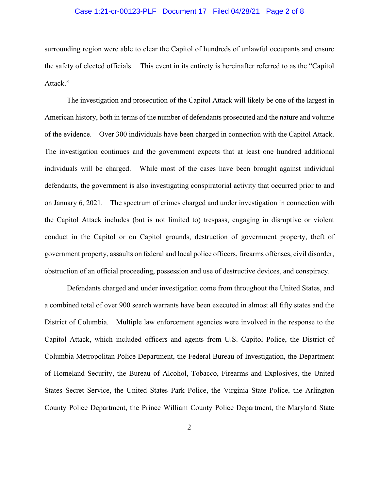### Case 1:21-cr-00123-PLF Document 17 Filed 04/28/21 Page 2 of 8

surrounding region were able to clear the Capitol of hundreds of unlawful occupants and ensure the safety of elected officials. This event in its entirety is hereinafter referred to as the "Capitol Attack."

The investigation and prosecution of the Capitol Attack will likely be one of the largest in American history, both in terms of the number of defendants prosecuted and the nature and volume of the evidence. Over 300 individuals have been charged in connection with the Capitol Attack. The investigation continues and the government expects that at least one hundred additional individuals will be charged. While most of the cases have been brought against individual defendants, the government is also investigating conspiratorial activity that occurred prior to and on January 6, 2021. The spectrum of crimes charged and under investigation in connection with the Capitol Attack includes (but is not limited to) trespass, engaging in disruptive or violent conduct in the Capitol or on Capitol grounds, destruction of government property, theft of government property, assaults on federal and local police officers, firearms offenses, civil disorder, obstruction of an official proceeding, possession and use of destructive devices, and conspiracy.

Defendants charged and under investigation come from throughout the United States, and a combined total of over 900 search warrants have been executed in almost all fifty states and the District of Columbia. Multiple law enforcement agencies were involved in the response to the Capitol Attack, which included officers and agents from U.S. Capitol Police, the District of Columbia Metropolitan Police Department, the Federal Bureau of Investigation, the Department of Homeland Security, the Bureau of Alcohol, Tobacco, Firearms and Explosives, the United States Secret Service, the United States Park Police, the Virginia State Police, the Arlington County Police Department, the Prince William County Police Department, the Maryland State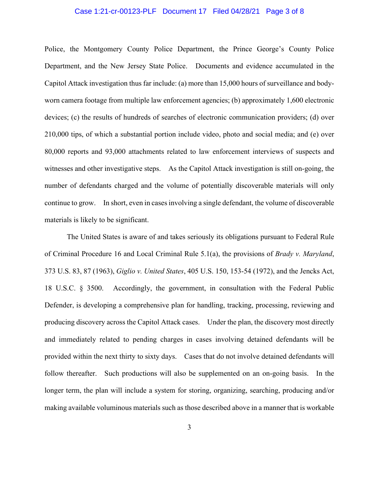#### Case 1:21-cr-00123-PLF Document 17 Filed 04/28/21 Page 3 of 8

Police, the Montgomery County Police Department, the Prince George's County Police Department, and the New Jersey State Police. Documents and evidence accumulated in the Capitol Attack investigation thus far include: (a) more than 15,000 hours of surveillance and bodyworn camera footage from multiple law enforcement agencies; (b) approximately 1,600 electronic devices; (c) the results of hundreds of searches of electronic communication providers; (d) over 210,000 tips, of which a substantial portion include video, photo and social media; and (e) over 80,000 reports and 93,000 attachments related to law enforcement interviews of suspects and witnesses and other investigative steps. As the Capitol Attack investigation is still on-going, the number of defendants charged and the volume of potentially discoverable materials will only continue to grow. In short, even in cases involving a single defendant, the volume of discoverable materials is likely to be significant.

The United States is aware of and takes seriously its obligations pursuant to Federal Rule of Criminal Procedure 16 and Local Criminal Rule 5.1(a), the provisions of *Brady v. Maryland*, 373 U.S. 83, 87 (1963), *Giglio v. United States*, 405 U.S. 150, 153-54 (1972), and the Jencks Act, 18 U.S.C. § 3500. Accordingly, the government, in consultation with the Federal Public Defender, is developing a comprehensive plan for handling, tracking, processing, reviewing and producing discovery across the Capitol Attack cases. Under the plan, the discovery most directly and immediately related to pending charges in cases involving detained defendants will be provided within the next thirty to sixty days. Cases that do not involve detained defendants will follow thereafter. Such productions will also be supplemented on an on-going basis. In the longer term, the plan will include a system for storing, organizing, searching, producing and/or making available voluminous materials such as those described above in a manner that is workable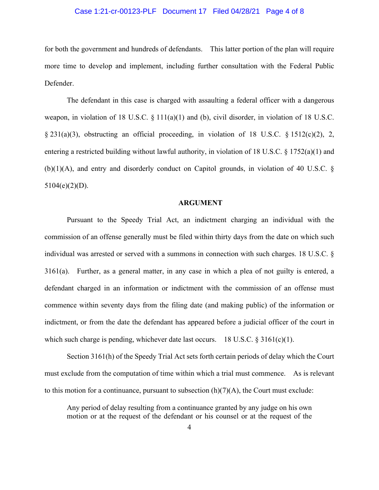### Case 1:21-cr-00123-PLF Document 17 Filed 04/28/21 Page 4 of 8

for both the government and hundreds of defendants. This latter portion of the plan will require more time to develop and implement, including further consultation with the Federal Public Defender.

The defendant in this case is charged with assaulting a federal officer with a dangerous weapon, in violation of 18 U.S.C.  $\S 111(a)(1)$  and (b), civil disorder, in violation of 18 U.S.C. § 231(a)(3), obstructing an official proceeding, in violation of 18 U.S.C. § 1512(c)(2), 2, entering a restricted building without lawful authority, in violation of 18 U.S.C.  $\S$  1752(a)(1) and  $(b)(1)(A)$ , and entry and disorderly conduct on Capitol grounds, in violation of 40 U.S.C. §  $5104(e)(2)(D)$ .

#### **ARGUMENT**

Pursuant to the Speedy Trial Act, an indictment charging an individual with the commission of an offense generally must be filed within thirty days from the date on which such individual was arrested or served with a summons in connection with such charges. 18 U.S.C. § 3161(a). Further, as a general matter, in any case in which a plea of not guilty is entered, a defendant charged in an information or indictment with the commission of an offense must commence within seventy days from the filing date (and making public) of the information or indictment, or from the date the defendant has appeared before a judicial officer of the court in which such charge is pending, whichever date last occurs. 18 U.S.C.  $\S 3161(c)(1)$ .

Section 3161(h) of the Speedy Trial Act sets forth certain periods of delay which the Court must exclude from the computation of time within which a trial must commence. As is relevant to this motion for a continuance, pursuant to subsection  $(h)(7)(A)$ , the Court must exclude:

Any period of delay resulting from a continuance granted by any judge on his own motion or at the request of the defendant or his counsel or at the request of the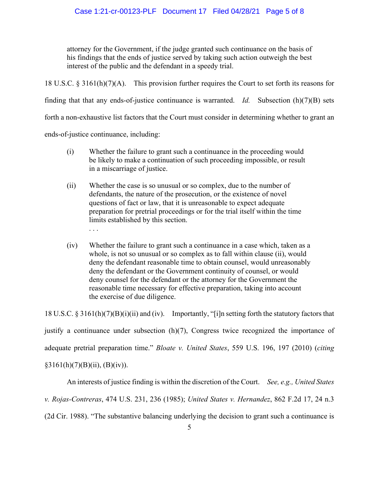attorney for the Government, if the judge granted such continuance on the basis of his findings that the ends of justice served by taking such action outweigh the best interest of the public and the defendant in a speedy trial.

18 U.S.C. § 3161(h)(7)(A). This provision further requires the Court to set forth its reasons for finding that that any ends-of-justice continuance is warranted. *Id.* Subsection (h)(7)(B) sets forth a non-exhaustive list factors that the Court must consider in determining whether to grant an ends-of-justice continuance, including:

- (i) Whether the failure to grant such a continuance in the proceeding would be likely to make a continuation of such proceeding impossible, or result in a miscarriage of justice.
- (ii) Whether the case is so unusual or so complex, due to the number of defendants, the nature of the prosecution, or the existence of novel questions of fact or law, that it is unreasonable to expect adequate preparation for pretrial proceedings or for the trial itself within the time limits established by this section. . . .
- (iv) Whether the failure to grant such a continuance in a case which, taken as a whole, is not so unusual or so complex as to fall within clause (ii), would deny the defendant reasonable time to obtain counsel, would unreasonably deny the defendant or the Government continuity of counsel, or would deny counsel for the defendant or the attorney for the Government the reasonable time necessary for effective preparation, taking into account the exercise of due diligence.

18 U.S.C. § 3161(h)(7)(B)(i)(ii) and (iv). Importantly, "[i]n setting forth the statutory factors that justify a continuance under subsection (h)(7), Congress twice recognized the importance of adequate pretrial preparation time." *Bloate v. United States*, 559 U.S. 196, 197 (2010) (*citing*  $§3161(h)(7)(B)(ii), (B)(iv)).$ 

An interests of justice finding is within the discretion of the Court. *See, e.g., United States v. Rojas-Contreras*, 474 U.S. 231, 236 (1985); *United States v. Hernandez*, 862 F.2d 17, 24 n.3 (2d Cir. 1988). "The substantive balancing underlying the decision to grant such a continuance is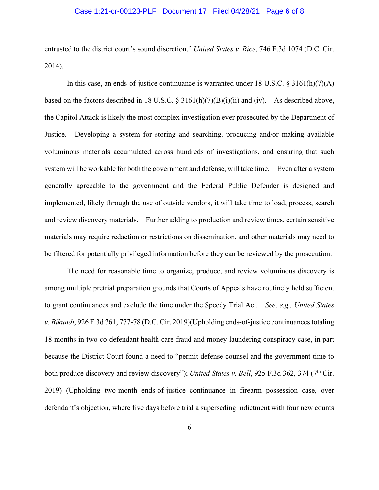#### Case 1:21-cr-00123-PLF Document 17 Filed 04/28/21 Page 6 of 8

entrusted to the district court's sound discretion." *United States v. Rice*, 746 F.3d 1074 (D.C. Cir. 2014).

In this case, an ends-of-justice continuance is warranted under 18 U.S.C. § 3161(h)(7)(A) based on the factors described in 18 U.S.C. § 3161(h)(7)(B)(i)(ii) and (iv). As described above, the Capitol Attack is likely the most complex investigation ever prosecuted by the Department of Justice. Developing a system for storing and searching, producing and/or making available voluminous materials accumulated across hundreds of investigations, and ensuring that such system will be workable for both the government and defense, will take time. Even after a system generally agreeable to the government and the Federal Public Defender is designed and implemented, likely through the use of outside vendors, it will take time to load, process, search and review discovery materials. Further adding to production and review times, certain sensitive materials may require redaction or restrictions on dissemination, and other materials may need to be filtered for potentially privileged information before they can be reviewed by the prosecution.

The need for reasonable time to organize, produce, and review voluminous discovery is among multiple pretrial preparation grounds that Courts of Appeals have routinely held sufficient to grant continuances and exclude the time under the Speedy Trial Act. *See, e.g., United States v. Bikundi*, 926 F.3d 761, 777-78 (D.C. Cir. 2019)(Upholding ends-of-justice continuances totaling 18 months in two co-defendant health care fraud and money laundering conspiracy case, in part because the District Court found a need to "permit defense counsel and the government time to both produce discovery and review discovery"); *United States v. Bell*, 925 F.3d 362, 374 (7<sup>th</sup> Cir. 2019) (Upholding two-month ends-of-justice continuance in firearm possession case, over defendant's objection, where five days before trial a superseding indictment with four new counts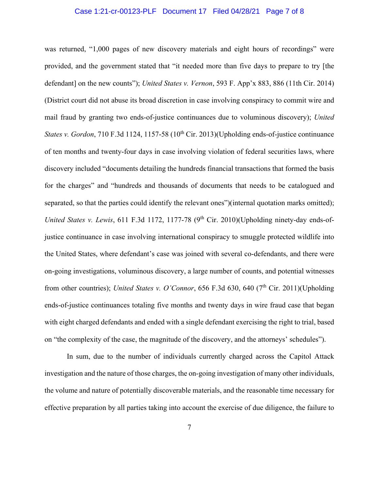#### Case 1:21-cr-00123-PLF Document 17 Filed 04/28/21 Page 7 of 8

was returned, "1,000 pages of new discovery materials and eight hours of recordings" were provided, and the government stated that "it needed more than five days to prepare to try [the defendant] on the new counts"); *United States v. Vernon*, 593 F. App'x 883, 886 (11th Cir. 2014) (District court did not abuse its broad discretion in case involving conspiracy to commit wire and mail fraud by granting two ends-of-justice continuances due to voluminous discovery); *United States v. Gordon*, 710 F.3d 1124, 1157-58 (10<sup>th</sup> Cir. 2013)(Upholding ends-of-justice continuance of ten months and twenty-four days in case involving violation of federal securities laws, where discovery included "documents detailing the hundreds financial transactions that formed the basis for the charges" and "hundreds and thousands of documents that needs to be catalogued and separated, so that the parties could identify the relevant ones")(internal quotation marks omitted); *United States v. Lewis*, 611 F.3d 1172, 1177-78  $(9<sup>th</sup> Cir. 2010)$  (Upholding ninety-day ends-ofjustice continuance in case involving international conspiracy to smuggle protected wildlife into the United States, where defendant's case was joined with several co-defendants, and there were on-going investigations, voluminous discovery, a large number of counts, and potential witnesses from other countries); *United States v. O'Connor*, 656 F.3d 630, 640 (7<sup>th</sup> Cir. 2011)(Upholding ends-of-justice continuances totaling five months and twenty days in wire fraud case that began with eight charged defendants and ended with a single defendant exercising the right to trial, based on "the complexity of the case, the magnitude of the discovery, and the attorneys' schedules").

In sum, due to the number of individuals currently charged across the Capitol Attack investigation and the nature of those charges, the on-going investigation of many other individuals, the volume and nature of potentially discoverable materials, and the reasonable time necessary for effective preparation by all parties taking into account the exercise of due diligence, the failure to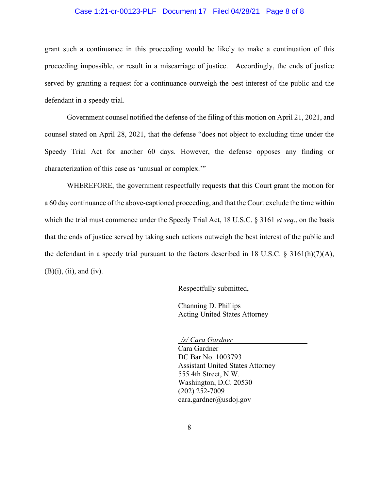### Case 1:21-cr-00123-PLF Document 17 Filed 04/28/21 Page 8 of 8

grant such a continuance in this proceeding would be likely to make a continuation of this proceeding impossible, or result in a miscarriage of justice. Accordingly, the ends of justice served by granting a request for a continuance outweigh the best interest of the public and the defendant in a speedy trial.

Government counsel notified the defense of the filing of this motion on April 21, 2021, and counsel stated on April 28, 2021, that the defense "does not object to excluding time under the Speedy Trial Act for another 60 days. However, the defense opposes any finding or characterization of this case as 'unusual or complex.'"

WHEREFORE, the government respectfully requests that this Court grant the motion for a 60 day continuance of the above-captioned proceeding, and that the Court exclude the time within which the trial must commence under the Speedy Trial Act, 18 U.S.C. § 3161 *et seq*., on the basis that the ends of justice served by taking such actions outweigh the best interest of the public and the defendant in a speedy trial pursuant to the factors described in 18 U.S.C.  $\S$  3161(h)(7)(A), (B)(i), (ii), and (iv).

Respectfully submitted,

Channing D. Phillips Acting United States Attorney

*/s/ Cara Gardner* 

Cara Gardner DC Bar No. 1003793 Assistant United States Attorney 555 4th Street, N.W. Washington, D.C. 20530 (202) 252-7009 cara.gardner@usdoj.gov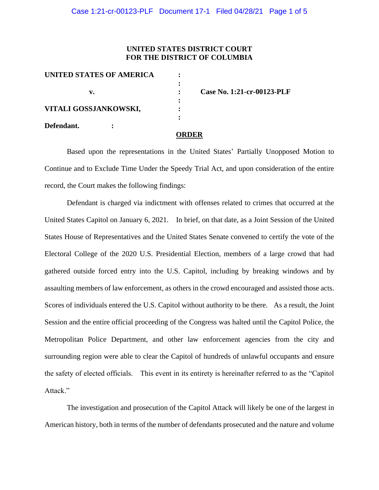# **UNITED STATES DISTRICT COURT FOR THE DISTRICT OF COLUMBIA**

| UNITED STATES OF AMERICA |                            |
|--------------------------|----------------------------|
|                          |                            |
| v.                       | Case No. 1:21-cr-00123-PLF |
|                          | $\ddot{\cdot}$             |
| VITALI GOSSJANKOWSKI,    | ٠                          |
|                          |                            |
| Defendant.               |                            |
|                          | ORDER                      |

Based upon the representations in the United States' Partially Unopposed Motion to Continue and to Exclude Time Under the Speedy Trial Act, and upon consideration of the entire record, the Court makes the following findings:

Defendant is charged via indictment with offenses related to crimes that occurred at the United States Capitol on January 6, 2021. In brief, on that date, as a Joint Session of the United States House of Representatives and the United States Senate convened to certify the vote of the Electoral College of the 2020 U.S. Presidential Election, members of a large crowd that had gathered outside forced entry into the U.S. Capitol, including by breaking windows and by assaulting members of law enforcement, as others in the crowd encouraged and assisted those acts. Scores of individuals entered the U.S. Capitol without authority to be there. As a result, the Joint Session and the entire official proceeding of the Congress was halted until the Capitol Police, the Metropolitan Police Department, and other law enforcement agencies from the city and surrounding region were able to clear the Capitol of hundreds of unlawful occupants and ensure the safety of elected officials. This event in its entirety is hereinafter referred to as the "Capitol Attack."

The investigation and prosecution of the Capitol Attack will likely be one of the largest in American history, both in terms of the number of defendants prosecuted and the nature and volume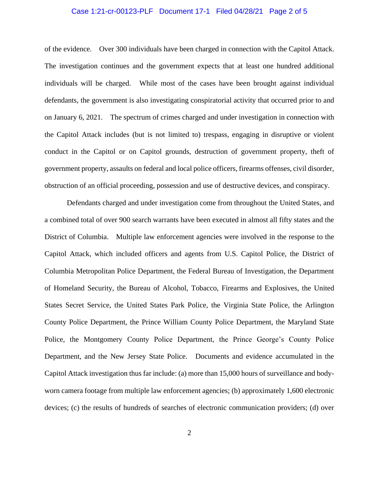### Case 1:21-cr-00123-PLF Document 17-1 Filed 04/28/21 Page 2 of 5

of the evidence. Over 300 individuals have been charged in connection with the Capitol Attack. The investigation continues and the government expects that at least one hundred additional individuals will be charged. While most of the cases have been brought against individual defendants, the government is also investigating conspiratorial activity that occurred prior to and on January 6, 2021. The spectrum of crimes charged and under investigation in connection with the Capitol Attack includes (but is not limited to) trespass, engaging in disruptive or violent conduct in the Capitol or on Capitol grounds, destruction of government property, theft of government property, assaults on federal and local police officers, firearms offenses, civil disorder, obstruction of an official proceeding, possession and use of destructive devices, and conspiracy.

Defendants charged and under investigation come from throughout the United States, and a combined total of over 900 search warrants have been executed in almost all fifty states and the District of Columbia. Multiple law enforcement agencies were involved in the response to the Capitol Attack, which included officers and agents from U.S. Capitol Police, the District of Columbia Metropolitan Police Department, the Federal Bureau of Investigation, the Department of Homeland Security, the Bureau of Alcohol, Tobacco, Firearms and Explosives, the United States Secret Service, the United States Park Police, the Virginia State Police, the Arlington County Police Department, the Prince William County Police Department, the Maryland State Police, the Montgomery County Police Department, the Prince George's County Police Department, and the New Jersey State Police. Documents and evidence accumulated in the Capitol Attack investigation thus far include: (a) more than 15,000 hours of surveillance and bodyworn camera footage from multiple law enforcement agencies; (b) approximately 1,600 electronic devices; (c) the results of hundreds of searches of electronic communication providers; (d) over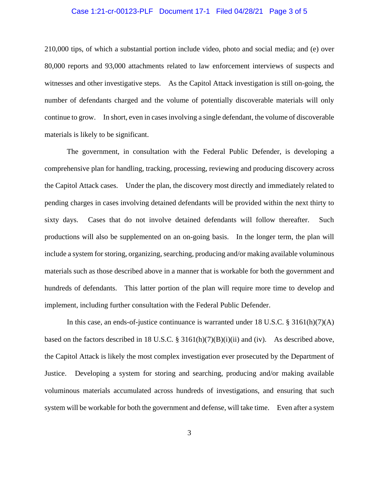#### Case 1:21-cr-00123-PLF Document 17-1 Filed 04/28/21 Page 3 of 5

210,000 tips, of which a substantial portion include video, photo and social media; and (e) over 80,000 reports and 93,000 attachments related to law enforcement interviews of suspects and witnesses and other investigative steps. As the Capitol Attack investigation is still on-going, the number of defendants charged and the volume of potentially discoverable materials will only continue to grow. In short, even in cases involving a single defendant, the volume of discoverable materials is likely to be significant.

The government, in consultation with the Federal Public Defender, is developing a comprehensive plan for handling, tracking, processing, reviewing and producing discovery across the Capitol Attack cases. Under the plan, the discovery most directly and immediately related to pending charges in cases involving detained defendants will be provided within the next thirty to sixty days. Cases that do not involve detained defendants will follow thereafter. Such productions will also be supplemented on an on-going basis. In the longer term, the plan will include a system for storing, organizing, searching, producing and/or making available voluminous materials such as those described above in a manner that is workable for both the government and hundreds of defendants. This latter portion of the plan will require more time to develop and implement, including further consultation with the Federal Public Defender.

In this case, an ends-of-justice continuance is warranted under 18 U.S.C. § 3161(h)(7)(A) based on the factors described in 18 U.S.C. § 3161(h)(7)(B)(i)(ii) and (iv). As described above, the Capitol Attack is likely the most complex investigation ever prosecuted by the Department of Justice. Developing a system for storing and searching, producing and/or making available voluminous materials accumulated across hundreds of investigations, and ensuring that such system will be workable for both the government and defense, will take time. Even after a system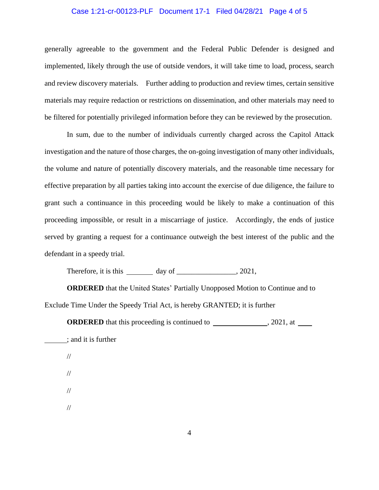### Case 1:21-cr-00123-PLF Document 17-1 Filed 04/28/21 Page 4 of 5

generally agreeable to the government and the Federal Public Defender is designed and implemented, likely through the use of outside vendors, it will take time to load, process, search and review discovery materials. Further adding to production and review times, certain sensitive materials may require redaction or restrictions on dissemination, and other materials may need to be filtered for potentially privileged information before they can be reviewed by the prosecution.

In sum, due to the number of individuals currently charged across the Capitol Attack investigation and the nature of those charges, the on-going investigation of many other individuals, the volume and nature of potentially discovery materials, and the reasonable time necessary for effective preparation by all parties taking into account the exercise of due diligence, the failure to grant such a continuance in this proceeding would be likely to make a continuation of this proceeding impossible, or result in a miscarriage of justice. Accordingly, the ends of justice served by granting a request for a continuance outweigh the best interest of the public and the defendant in a speedy trial.

Therefore, it is this  $\frac{1}{\sqrt{2\pi}}$  day of  $\frac{1}{\sqrt{2\pi}}$ , 2021,

**ORDERED** that the United States' Partially Unopposed Motion to Continue and to Exclude Time Under the Speedy Trial Act, is hereby GRANTED; it is further

**ORDERED** that this proceeding is continued to , 2021, at

; and it is further

//

//

//

//